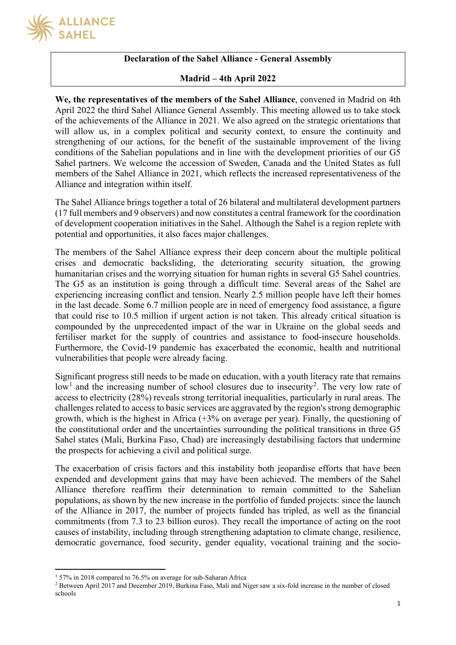

### **Declaration of the Sahel Alliance - General Assembly**

#### **Madrid – 4th April 2022**

**We, the representatives of the members of the Sahel Alliance**, convened in Madrid on 4th April 2022 the third Sahel Alliance General Assembly. This meeting allowed us to take stock of the achievements of the Alliance in 2021. We also agreed on the strategic orientations that will allow us, in a complex political and security context, to ensure the continuity and strengthening of our actions, for the benefit of the sustainable improvement of the living conditions of the Sahelian populations and in line with the development priorities of our G5 Sahel partners. We welcome the accession of Sweden, Canada and the United States as full members of the Sahel Alliance in 2021, which reflects the increased representativeness of the Alliance and integration within itself.

The Sahel Alliance brings together a total of 26 bilateral and multilateral development partners (17 full members and 9 observers) and now constitutes a central framework for the coordination of development cooperation initiatives in the Sahel. Although the Sahel is a region replete with potential and opportunities, it also faces major challenges.

The members of the Sahel Alliance express their deep concern about the multiple political crises and democratic backsliding, the deteriorating security situation, the growing humanitarian crises and the worrying situation for human rights in several G5 Sahel countries. The G5 as an institution is going through a difficult time. Several areas of the Sahel are experiencing increasing conflict and tension. Nearly 2.5 million people have left their homes in the last decade. Some 6.7 million people are in need of emergency food assistance, a figure that could rise to 10.5 million if urgent action is not taken. This already critical situation is compounded by the unprecedented impact of the war in Ukraine on the global seeds and fertiliser market for the supply of countries and assistance to food-insecure households. Furthermore, the Covid-19 pandemic has exacerbated the economic, health and nutritional vulnerabilities that people were already facing.

Significant progress still needs to be made on education, with a youth literacy rate that remains low<sup>[1](#page-0-0)</sup> and the increasing number of school closures due to insecurity<sup>[2](#page-0-1)</sup>. The very low rate of access to electricity (28%) reveals strong territorial inequalities, particularly in rural areas. The challenges related to access to basic services are aggravated by the region's strong demographic growth, which is the highest in Africa (+3% on average per year). Finally, the questioning of the constitutional order and the uncertainties surrounding the political transitions in three G5 Sahel states (Mali, Burkina Faso, Chad) are increasingly destabilising factors that undermine the prospects for achieving a civil and political surge.

The exacerbation of crisis factors and this instability both jeopardise efforts that have been expended and development gains that may have been achieved. The members of the Sahel Alliance therefore reaffirm their determination to remain committed to the Sahelian populations, as shown by the new increase in the portfolio of funded projects: since the launch of the Alliance in 2017, the number of projects funded has tripled, as well as the financial commitments (from 7.3 to 23 billion euros). They recall the importance of acting on the root causes of instability, including through strengthening adaptation to climate change, resilience, democratic governance, food security, gender equality, vocational training and the socio-

<sup>1</sup> 57% in 2018 compared to 76.5% on average for sub-Saharan Africa

<span id="page-0-1"></span><span id="page-0-0"></span><sup>2</sup> Between April 2017 and December 2019, Burkina Faso, Mali and Niger saw a six-fold increase in the number of closed schools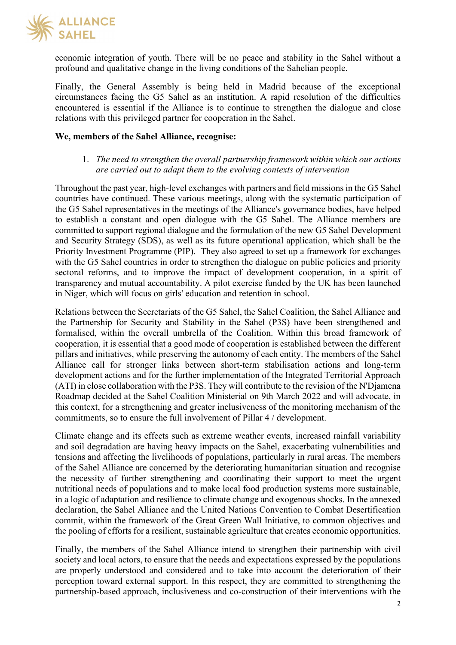

economic integration of youth. There will be no peace and stability in the Sahel without a profound and qualitative change in the living conditions of the Sahelian people.

Finally, the General Assembly is being held in Madrid because of the exceptional circumstances facing the G5 Sahel as an institution. A rapid resolution of the difficulties encountered is essential if the Alliance is to continue to strengthen the dialogue and close relations with this privileged partner for cooperation in the Sahel.

#### **We, members of the Sahel Alliance, recognise:**

## 1. *The need to strengthen the overall partnership framework within which our actions are carried out to adapt them to the evolving contexts of intervention*

Throughout the past year, high-level exchanges with partners and field missions in the G5 Sahel countries have continued. These various meetings, along with the systematic participation of the G5 Sahel representatives in the meetings of the Alliance's governance bodies, have helped to establish a constant and open dialogue with the G5 Sahel. The Alliance members are committed to support regional dialogue and the formulation of the new G5 Sahel Development and Security Strategy (SDS), as well as its future operational application, which shall be the Priority Investment Programme (PIP). They also agreed to set up a framework for exchanges with the G5 Sahel countries in order to strengthen the dialogue on public policies and priority sectoral reforms, and to improve the impact of development cooperation, in a spirit of transparency and mutual accountability. A pilot exercise funded by the UK has been launched in Niger, which will focus on girls' education and retention in school.

Relations between the Secretariats of the G5 Sahel, the Sahel Coalition, the Sahel Alliance and the Partnership for Security and Stability in the Sahel (P3S) have been strengthened and formalised, within the overall umbrella of the Coalition. Within this broad framework of cooperation, it is essential that a good mode of cooperation is established between the different pillars and initiatives, while preserving the autonomy of each entity. The members of the Sahel Alliance call for stronger links between short-term stabilisation actions and long-term development actions and for the further implementation of the Integrated Territorial Approach (ATI) in close collaboration with the P3S. They will contribute to the revision of the N'Djamena Roadmap decided at the Sahel Coalition Ministerial on 9th March 2022 and will advocate, in this context, for a strengthening and greater inclusiveness of the monitoring mechanism of the commitments, so to ensure the full involvement of Pillar 4 / development.

Climate change and its effects such as extreme weather events, increased rainfall variability and soil degradation are having heavy impacts on the Sahel, exacerbating vulnerabilities and tensions and affecting the livelihoods of populations, particularly in rural areas. The members of the Sahel Alliance are concerned by the deteriorating humanitarian situation and recognise the necessity of further strengthening and coordinating their support to meet the urgent nutritional needs of populations and to make local food production systems more sustainable, in a logic of adaptation and resilience to climate change and exogenous shocks. In the annexed declaration, the Sahel Alliance and the United Nations Convention to Combat Desertification commit, within the framework of the Great Green Wall Initiative, to common objectives and the pooling of efforts for a resilient, sustainable agriculture that creates economic opportunities.

Finally, the members of the Sahel Alliance intend to strengthen their partnership with civil society and local actors, to ensure that the needs and expectations expressed by the populations are properly understood and considered and to take into account the deterioration of their perception toward external support. In this respect, they are committed to strengthening the partnership-based approach, inclusiveness and co-construction of their interventions with the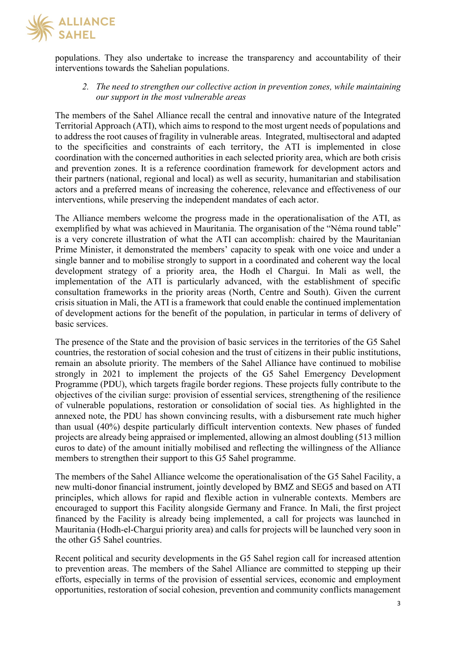

populations. They also undertake to increase the transparency and accountability of their interventions towards the Sahelian populations.

*2. The need to strengthen our collective action in prevention zones, while maintaining our support in the most vulnerable areas*

The members of the Sahel Alliance recall the central and innovative nature of the Integrated Territorial Approach (ATI), which aims to respond to the most urgent needs of populations and to address the root causes of fragility in vulnerable areas. Integrated, multisectoral and adapted to the specificities and constraints of each territory, the ATI is implemented in close coordination with the concerned authorities in each selected priority area, which are both crisis and prevention zones. It is a reference coordination framework for development actors and their partners (national, regional and local) as well as security, humanitarian and stabilisation actors and a preferred means of increasing the coherence, relevance and effectiveness of our interventions, while preserving the independent mandates of each actor.

The Alliance members welcome the progress made in the operationalisation of the ATI, as exemplified by what was achieved in Mauritania. The organisation of the "Néma round table" is a very concrete illustration of what the ATI can accomplish: chaired by the Mauritanian Prime Minister, it demonstrated the members' capacity to speak with one voice and under a single banner and to mobilise strongly to support in a coordinated and coherent way the local development strategy of a priority area, the Hodh el Chargui. In Mali as well, the implementation of the ATI is particularly advanced, with the establishment of specific consultation frameworks in the priority areas (North, Centre and South). Given the current crisis situation in Mali, the ATI is a framework that could enable the continued implementation of development actions for the benefit of the population, in particular in terms of delivery of basic services.

The presence of the State and the provision of basic services in the territories of the G5 Sahel countries, the restoration of social cohesion and the trust of citizens in their public institutions, remain an absolute priority. The members of the Sahel Alliance have continued to mobilise strongly in 2021 to implement the projects of the G5 Sahel Emergency Development Programme (PDU), which targets fragile border regions. These projects fully contribute to the objectives of the civilian surge: provision of essential services, strengthening of the resilience of vulnerable populations, restoration or consolidation of social ties. As highlighted in the annexed note, the PDU has shown convincing results, with a disbursement rate much higher than usual (40%) despite particularly difficult intervention contexts. New phases of funded projects are already being appraised or implemented, allowing an almost doubling (513 million euros to date) of the amount initially mobilised and reflecting the willingness of the Alliance members to strengthen their support to this G5 Sahel programme.

The members of the Sahel Alliance welcome the operationalisation of the G5 Sahel Facility, a new multi-donor financial instrument, jointly developed by BMZ and SEG5 and based on ATI principles, which allows for rapid and flexible action in vulnerable contexts. Members are encouraged to support this Facility alongside Germany and France. In Mali, the first project financed by the Facility is already being implemented, a call for projects was launched in Mauritania (Hodh-el-Chargui priority area) and calls for projects will be launched very soon in the other G5 Sahel countries.

Recent political and security developments in the G5 Sahel region call for increased attention to prevention areas. The members of the Sahel Alliance are committed to stepping up their efforts, especially in terms of the provision of essential services, economic and employment opportunities, restoration of social cohesion, prevention and community conflicts management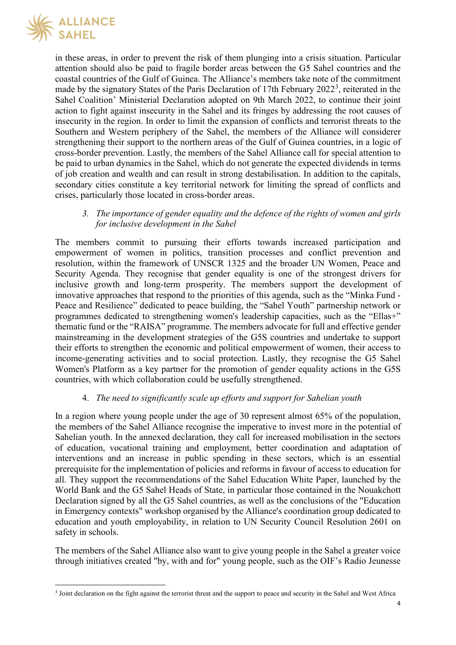

in these areas, in order to prevent the risk of them plunging into a crisis situation. Particular attention should also be paid to fragile border areas between the G5 Sahel countries and the coastal countries of the Gulf of Guinea. The Alliance's members take note of the commitment made by the signatory States of the Paris Declaration of 17th February 2022<sup>[3](#page-3-0)</sup>, reiterated in the Sahel Coalition' Ministerial Declaration adopted on 9th March 2022, to continue their joint action to fight against insecurity in the Sahel and its fringes by addressing the root causes of insecurity in the region. In order to limit the expansion of conflicts and terrorist threats to the Southern and Western periphery of the Sahel, the members of the Alliance will considerer strengthening their support to the northern areas of the Gulf of Guinea countries, in a logic of cross-border prevention. Lastly, the members of the Sahel Alliance call for special attention to be paid to urban dynamics in the Sahel, which do not generate the expected dividends in terms of job creation and wealth and can result in strong destabilisation. In addition to the capitals, secondary cities constitute a key territorial network for limiting the spread of conflicts and crises, particularly those located in cross-border areas.

#### *3. The importance of gender equality and the defence of the rights of women and girls for inclusive development in the Sahel*

The members commit to pursuing their efforts towards increased participation and empowerment of women in politics, transition processes and conflict prevention and resolution, within the framework of UNSCR 1325 and the broader UN Women, Peace and Security Agenda. They recognise that gender equality is one of the strongest drivers for inclusive growth and long-term prosperity. The members support the development of innovative approaches that respond to the priorities of this agenda, such as the "Minka Fund - Peace and Resilience" dedicated to peace building, the "Sahel Youth" partnership network or programmes dedicated to strengthening women's leadership capacities, such as the "Ellas+" thematic fund or the "RAISA" programme. The members advocate for full and effective gender mainstreaming in the development strategies of the G5S countries and undertake to support their efforts to strengthen the economic and political empowerment of women, their access to income-generating activities and to social protection. Lastly, they recognise the G5 Sahel Women's Platform as a key partner for the promotion of gender equality actions in the G5S countries, with which collaboration could be usefully strengthened.

# 4. *The need to significantly scale up efforts and support for Sahelian youth*

In a region where young people under the age of 30 represent almost 65% of the population, the members of the Sahel Alliance recognise the imperative to invest more in the potential of Sahelian youth. In the annexed declaration, they call for increased mobilisation in the sectors of education, vocational training and employment, better coordination and adaptation of interventions and an increase in public spending in these sectors, which is an essential prerequisite for the implementation of policies and reforms in favour of access to education for all. They support the recommendations of the Sahel Education White Paper, launched by the World Bank and the G5 Sahel Heads of State, in particular those contained in the Nouakchott Declaration signed by all the G5 Sahel countries, as well as the conclusions of the "Education in Emergency contexts" workshop organised by the Alliance's coordination group dedicated to education and youth employability, in relation to UN Security Council Resolution 2601 on safety in schools.

The members of the Sahel Alliance also want to give young people in the Sahel a greater voice through initiatives created "by, with and for" young people, such as the OIF's Radio Jeunesse

<span id="page-3-0"></span><sup>3</sup> Joint declaration on the fight against the terrorist threat and the support to peace and security in the Sahel and West Africa